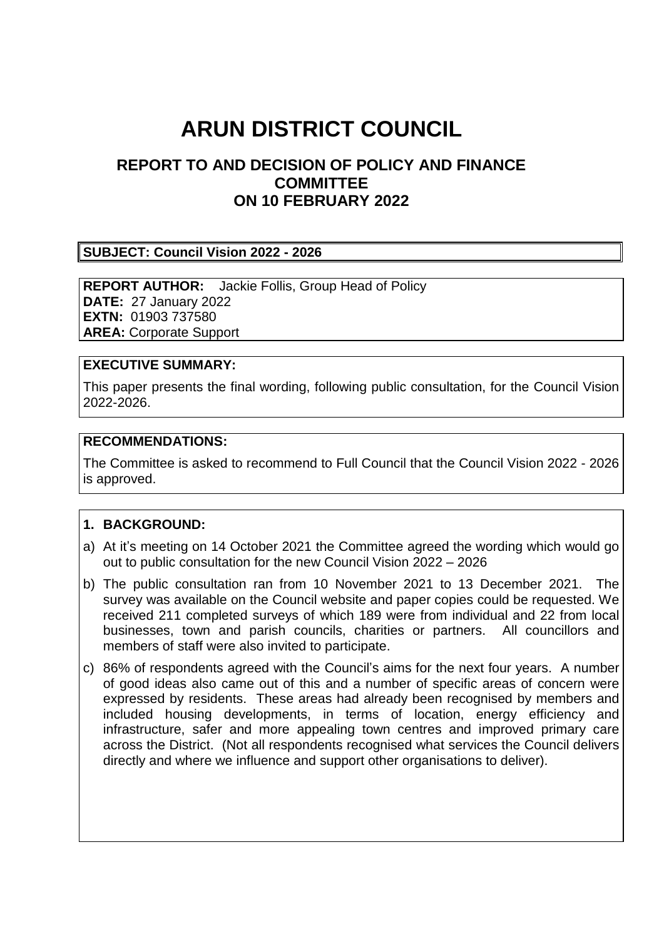# **ARUN DISTRICT COUNCIL**

## **REPORT TO AND DECISION OF POLICY AND FINANCE COMMITTEE ON 10 FEBRUARY 2022**

#### **SUBJECT: Council Vision 2022 - 2026**

**REPORT AUTHOR:** Jackie Follis, Group Head of Policy **DATE:** 27 January 2022 **EXTN:** 01903 737580 **AREA:** Corporate Support

#### **EXECUTIVE SUMMARY:**

This paper presents the final wording, following public consultation, for the Council Vision 2022-2026.

#### **RECOMMENDATIONS:**

The Committee is asked to recommend to Full Council that the Council Vision 2022 - 2026 is approved.

#### **1. BACKGROUND:**

- a) At it's meeting on 14 October 2021 the Committee agreed the wording which would go out to public consultation for the new Council Vision 2022 – 2026
- b) The public consultation ran from 10 November 2021 to 13 December 2021. The survey was available on the Council website and paper copies could be requested. We received 211 completed surveys of which 189 were from individual and 22 from local businesses, town and parish councils, charities or partners. All councillors and members of staff were also invited to participate.
- c) 86% of respondents agreed with the Council's aims for the next four years. A number of good ideas also came out of this and a number of specific areas of concern were expressed by residents. These areas had already been recognised by members and included housing developments, in terms of location, energy efficiency and infrastructure, safer and more appealing town centres and improved primary care across the District. (Not all respondents recognised what services the Council delivers directly and where we influence and support other organisations to deliver).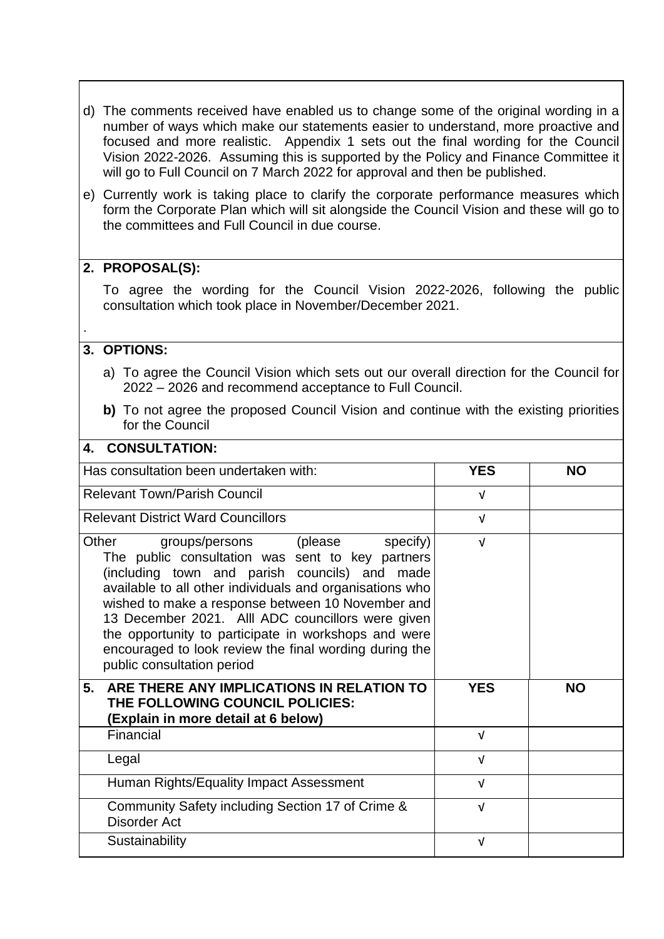- d) The comments received have enabled us to change some of the original wording in a number of ways which make our statements easier to understand, more proactive and focused and more realistic. Appendix 1 sets out the final wording for the Council Vision 2022-2026. Assuming this is supported by the Policy and Finance Committee it will go to Full Council on 7 March 2022 for approval and then be published.
- e) Currently work is taking place to clarify the corporate performance measures which form the Corporate Plan which will sit alongside the Council Vision and these will go to the committees and Full Council in due course.

### **2. PROPOSAL(S):**

To agree the wording for the Council Vision 2022-2026, following the public consultation which took place in November/December 2021.

### **3. OPTIONS:**

.

- a) To agree the Council Vision which sets out our overall direction for the Council for 2022 – 2026 and recommend acceptance to Full Council.
- **b)** To not agree the proposed Council Vision and continue with the existing priorities for the Council

| <b>CONSULTATION:</b><br>4.                                                                                                                                                                                                                                                                                                                                                                                                                                             |            |           |
|------------------------------------------------------------------------------------------------------------------------------------------------------------------------------------------------------------------------------------------------------------------------------------------------------------------------------------------------------------------------------------------------------------------------------------------------------------------------|------------|-----------|
| Has consultation been undertaken with:                                                                                                                                                                                                                                                                                                                                                                                                                                 | <b>YES</b> | <b>NO</b> |
| <b>Relevant Town/Parish Council</b>                                                                                                                                                                                                                                                                                                                                                                                                                                    | $\sqrt{ }$ |           |
| <b>Relevant District Ward Councillors</b>                                                                                                                                                                                                                                                                                                                                                                                                                              | $\sqrt{ }$ |           |
| groups/persons (please<br>specify)<br>Other<br>The public consultation was sent to key partners<br>(including town and parish councils) and made<br>available to all other individuals and organisations who<br>wished to make a response between 10 November and<br>13 December 2021. Alll ADC councillors were given<br>the opportunity to participate in workshops and were<br>encouraged to look review the final wording during the<br>public consultation period | $\sqrt{ }$ |           |
| ARE THERE ANY IMPLICATIONS IN RELATION TO<br>5.<br>THE FOLLOWING COUNCIL POLICIES:<br>(Explain in more detail at 6 below)                                                                                                                                                                                                                                                                                                                                              | <b>YES</b> | <b>NO</b> |
| Financial                                                                                                                                                                                                                                                                                                                                                                                                                                                              | $\sqrt{ }$ |           |
| Legal                                                                                                                                                                                                                                                                                                                                                                                                                                                                  | $\sqrt{ }$ |           |
| Human Rights/Equality Impact Assessment                                                                                                                                                                                                                                                                                                                                                                                                                                | $\sqrt{ }$ |           |
| Community Safety including Section 17 of Crime &<br><b>Disorder Act</b>                                                                                                                                                                                                                                                                                                                                                                                                | $\sqrt{ }$ |           |
| Sustainability                                                                                                                                                                                                                                                                                                                                                                                                                                                         | $\sqrt{ }$ |           |